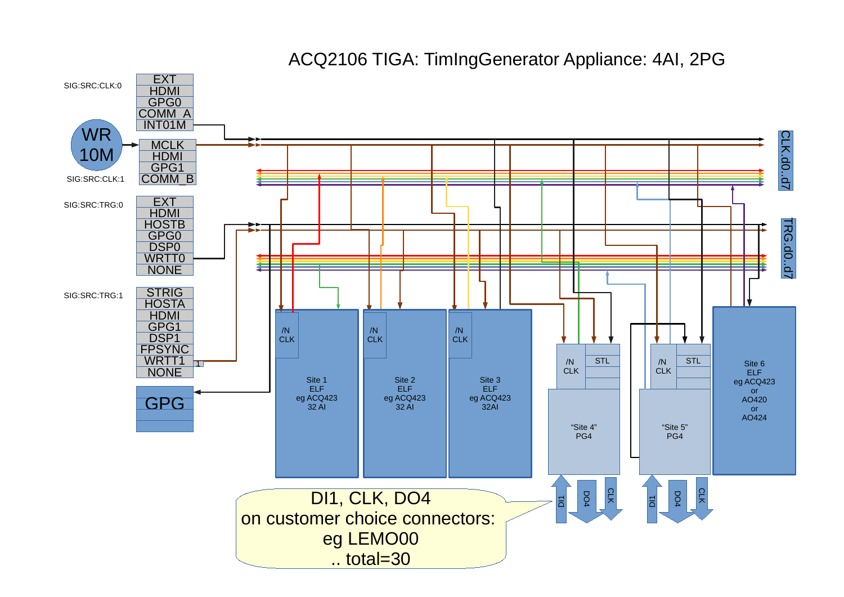

ACQ2106 TIGA: TimIngGenerator Appliance: 4AI, 2PG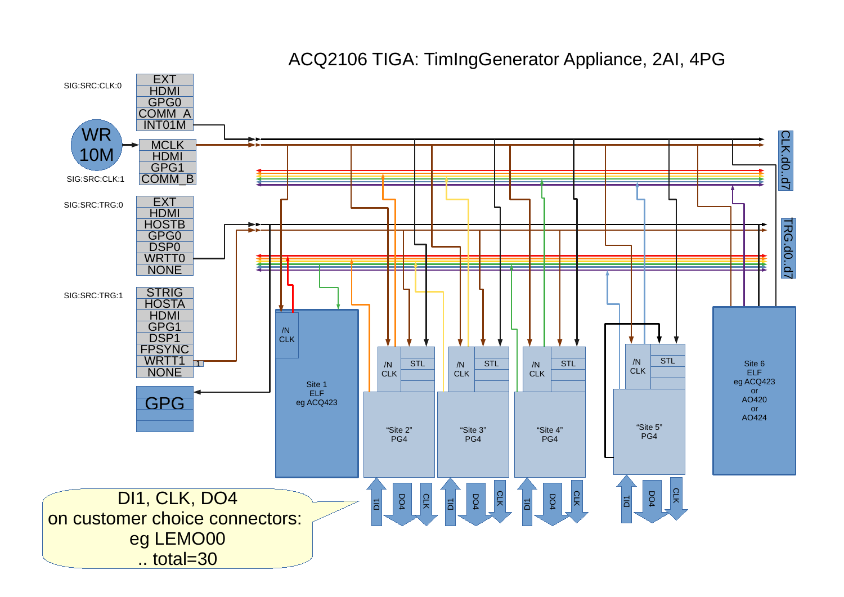

## ACQ2106 TIGA: TimIngGenerator Appliance, 2AI, 4PG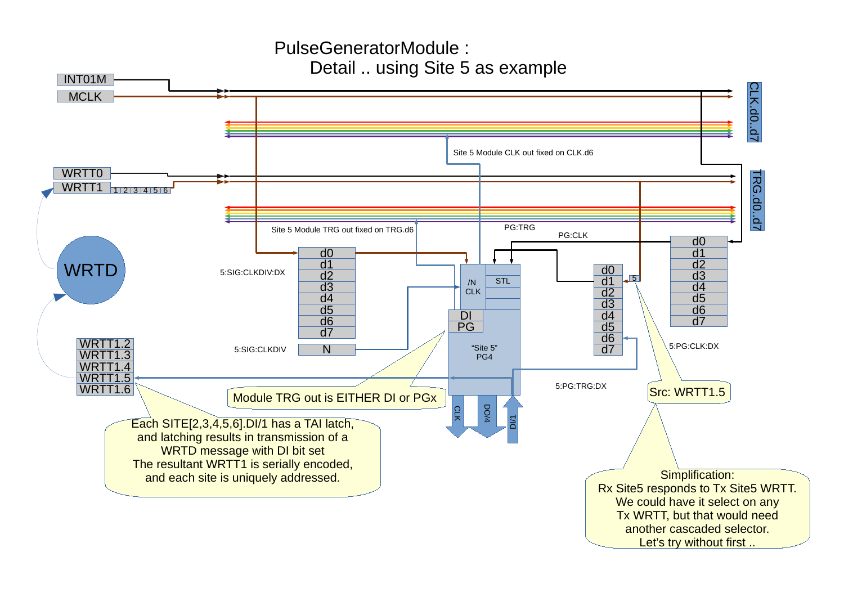## PulseGeneratorModule : Detail .. using Site 5 as example

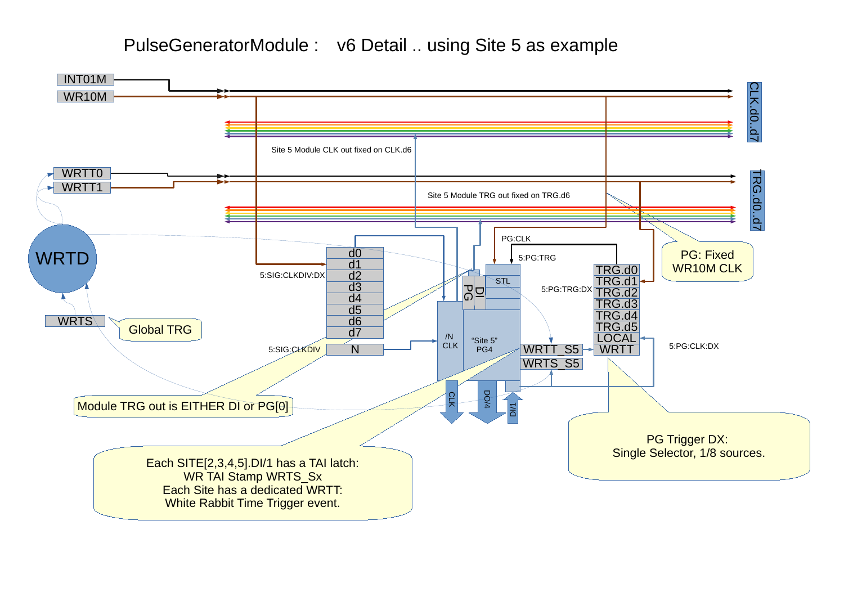PulseGeneratorModule : v6 Detail .. using Site 5 as example